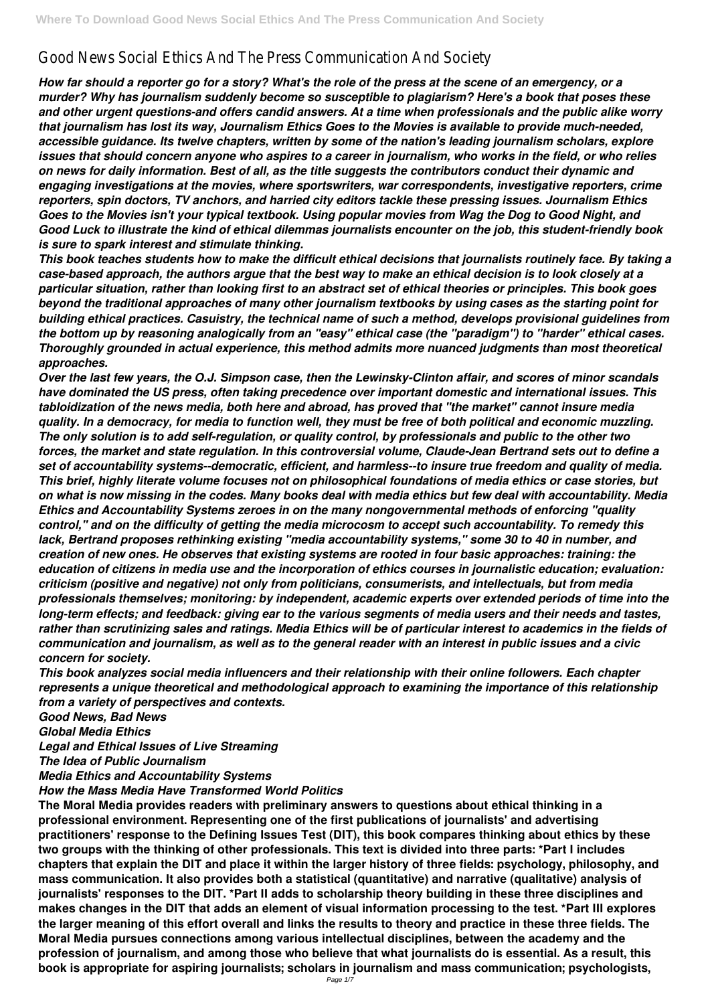# Good News Social Ethics And The Press Communication And Society

*How far should a reporter go for a story? What's the role of the press at the scene of an emergency, or a murder? Why has journalism suddenly become so susceptible to plagiarism? Here's a book that poses these and other urgent questions-and offers candid answers. At a time when professionals and the public alike worry that journalism has lost its way, Journalism Ethics Goes to the Movies is available to provide much-needed, accessible guidance. Its twelve chapters, written by some of the nation's leading journalism scholars, explore issues that should concern anyone who aspires to a career in journalism, who works in the field, or who relies on news for daily information. Best of all, as the title suggests the contributors conduct their dynamic and engaging investigations at the movies, where sportswriters, war correspondents, investigative reporters, crime reporters, spin doctors, TV anchors, and harried city editors tackle these pressing issues. Journalism Ethics Goes to the Movies isn't your typical textbook. Using popular movies from Wag the Dog to Good Night, and Good Luck to illustrate the kind of ethical dilemmas journalists encounter on the job, this student-friendly book is sure to spark interest and stimulate thinking.*

*This book teaches students how to make the difficult ethical decisions that journalists routinely face. By taking a case-based approach, the authors argue that the best way to make an ethical decision is to look closely at a particular situation, rather than looking first to an abstract set of ethical theories or principles. This book goes beyond the traditional approaches of many other journalism textbooks by using cases as the starting point for building ethical practices. Casuistry, the technical name of such a method, develops provisional guidelines from the bottom up by reasoning analogically from an "easy" ethical case (the "paradigm") to "harder" ethical cases. Thoroughly grounded in actual experience, this method admits more nuanced judgments than most theoretical approaches.*

*Over the last few years, the O.J. Simpson case, then the Lewinsky-Clinton affair, and scores of minor scandals have dominated the US press, often taking precedence over important domestic and international issues. This tabloidization of the news media, both here and abroad, has proved that "the market" cannot insure media quality. In a democracy, for media to function well, they must be free of both political and economic muzzling. The only solution is to add self-regulation, or quality control, by professionals and public to the other two forces, the market and state regulation. In this controversial volume, Claude-Jean Bertrand sets out to define a set of accountability systems--democratic, efficient, and harmless--to insure true freedom and quality of media. This brief, highly literate volume focuses not on philosophical foundations of media ethics or case stories, but on what is now missing in the codes. Many books deal with media ethics but few deal with accountability. Media Ethics and Accountability Systems zeroes in on the many nongovernmental methods of enforcing "quality control," and on the difficulty of getting the media microcosm to accept such accountability. To remedy this lack, Bertrand proposes rethinking existing "media accountability systems," some 30 to 40 in number, and creation of new ones. He observes that existing systems are rooted in four basic approaches: training: the education of citizens in media use and the incorporation of ethics courses in journalistic education; evaluation: criticism (positive and negative) not only from politicians, consumerists, and intellectuals, but from media professionals themselves; monitoring: by independent, academic experts over extended periods of time into the long-term effects; and feedback: giving ear to the various segments of media users and their needs and tastes, rather than scrutinizing sales and ratings. Media Ethics will be of particular interest to academics in the fields of communication and journalism, as well as to the general reader with an interest in public issues and a civic concern for society.*

*This book analyzes social media influencers and their relationship with their online followers. Each chapter represents a unique theoretical and methodological approach to examining the importance of this relationship from a variety of perspectives and contexts.*

*Good News, Bad News Global Media Ethics Legal and Ethical Issues of Live Streaming*

## *The Idea of Public Journalism Media Ethics and Accountability Systems How the Mass Media Have Transformed World Politics*

**The Moral Media provides readers with preliminary answers to questions about ethical thinking in a professional environment. Representing one of the first publications of journalists' and advertising practitioners' response to the Defining Issues Test (DIT), this book compares thinking about ethics by these two groups with the thinking of other professionals. This text is divided into three parts: \*Part I includes chapters that explain the DIT and place it within the larger history of three fields: psychology, philosophy, and mass communication. It also provides both a statistical (quantitative) and narrative (qualitative) analysis of journalists' responses to the DIT. \*Part II adds to scholarship theory building in these three disciplines and makes changes in the DIT that adds an element of visual information processing to the test. \*Part III explores the larger meaning of this effort overall and links the results to theory and practice in these three fields. The Moral Media pursues connections among various intellectual disciplines, between the academy and the profession of journalism, and among those who believe that what journalists do is essential. As a result, this book is appropriate for aspiring journalists; scholars in journalism and mass communication; psychologists,**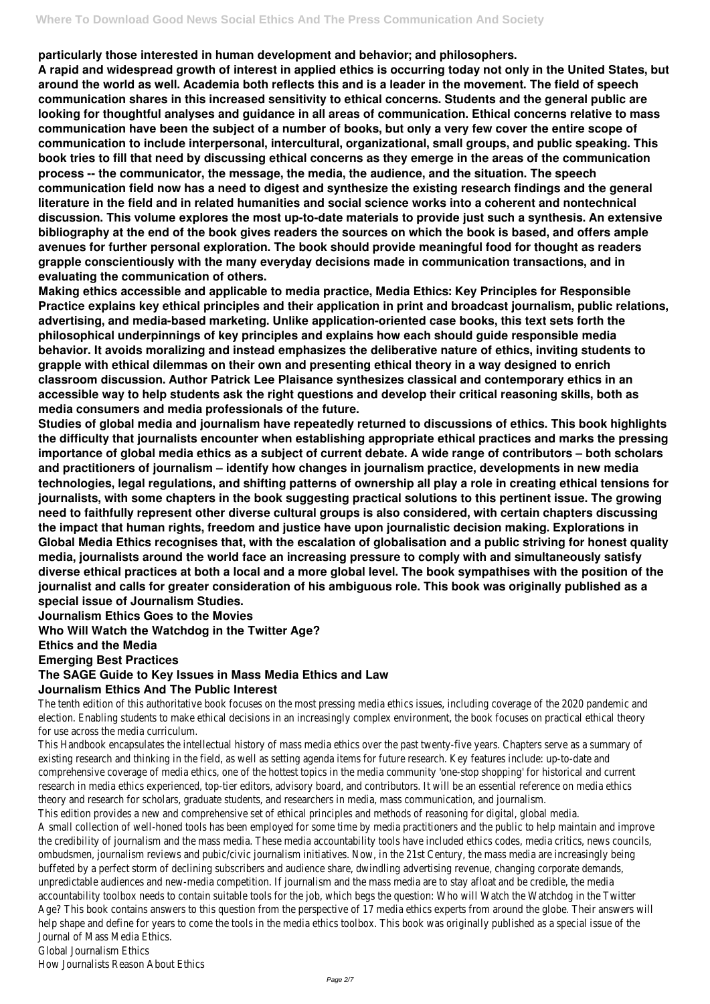**particularly those interested in human development and behavior; and philosophers.**

**A rapid and widespread growth of interest in applied ethics is occurring today not only in the United States, but around the world as well. Academia both reflects this and is a leader in the movement. The field of speech communication shares in this increased sensitivity to ethical concerns. Students and the general public are looking for thoughtful analyses and guidance in all areas of communication. Ethical concerns relative to mass communication have been the subject of a number of books, but only a very few cover the entire scope of communication to include interpersonal, intercultural, organizational, small groups, and public speaking. This book tries to fill that need by discussing ethical concerns as they emerge in the areas of the communication process -- the communicator, the message, the media, the audience, and the situation. The speech communication field now has a need to digest and synthesize the existing research findings and the general literature in the field and in related humanities and social science works into a coherent and nontechnical discussion. This volume explores the most up-to-date materials to provide just such a synthesis. An extensive bibliography at the end of the book gives readers the sources on which the book is based, and offers ample avenues for further personal exploration. The book should provide meaningful food for thought as readers grapple conscientiously with the many everyday decisions made in communication transactions, and in evaluating the communication of others.**

**Making ethics accessible and applicable to media practice, Media Ethics: Key Principles for Responsible Practice explains key ethical principles and their application in print and broadcast journalism, public relations, advertising, and media-based marketing. Unlike application-oriented case books, this text sets forth the philosophical underpinnings of key principles and explains how each should guide responsible media behavior. It avoids moralizing and instead emphasizes the deliberative nature of ethics, inviting students to grapple with ethical dilemmas on their own and presenting ethical theory in a way designed to enrich classroom discussion. Author Patrick Lee Plaisance synthesizes classical and contemporary ethics in an accessible way to help students ask the right questions and develop their critical reasoning skills, both as media consumers and media professionals of the future.**

The tenth edition of this authoritative book focuses on the most pressing media ethics issues, including coverage of the 2020 election. Enabling students to make ethical decisions in an increasingly complex environment, the book focuses on practical et for use across the media curriculum.

This Handbook encapsulates the intellectual history of mass media ethics over the past twenty-five years. Chapters serve as a existing research and thinking in the field, as well as setting agenda items for future research. Key features include: up-to-dat comprehensive coverage of media ethics, one of the hottest topics in the media community 'one-stop shopping' for historical research in media ethics experienced, top-tier editors, advisory board, and contributors. It will be an essential reference on me theory and research for scholars, graduate students, and researchers in media, mass communication, and journalism. This edition provides a new and comprehensive set of ethical principles and methods of reasoning for digital, global media. A small collection of well-honed tools has been employed for some time by media practitioners and the public to help maintain the credibility of journalism and the mass media. These media accountability tools have included ethics codes, media critics, ne ombudsmen, journalism reviews and pubic/civic journalism initiatives. Now, in the 21st Century, the mass media are increasing buffeted by a perfect storm of declining subscribers and audience share, dwindling advertising revenue, changing corporate de unpredictable audiences and new-media competition. If journalism and the mass media are to stay afloat and be credible, the r accountability toolbox needs to contain suitable tools for the job, which begs the question: Who will Watch the Watchdog in Age? This book contains answers to this question from the perspective of 17 media ethics experts from around the globe. The help shape and define for years to come the tools in the media ethics toolbox. This book was originally published as a special i Journal of Mass Media Ethics. Global Journalism Ethics

**Studies of global media and journalism have repeatedly returned to discussions of ethics. This book highlights the difficulty that journalists encounter when establishing appropriate ethical practices and marks the pressing importance of global media ethics as a subject of current debate. A wide range of contributors – both scholars and practitioners of journalism – identify how changes in journalism practice, developments in new media technologies, legal regulations, and shifting patterns of ownership all play a role in creating ethical tensions for journalists, with some chapters in the book suggesting practical solutions to this pertinent issue. The growing need to faithfully represent other diverse cultural groups is also considered, with certain chapters discussing the impact that human rights, freedom and justice have upon journalistic decision making. Explorations in Global Media Ethics recognises that, with the escalation of globalisation and a public striving for honest quality media, journalists around the world face an increasing pressure to comply with and simultaneously satisfy diverse ethical practices at both a local and a more global level. The book sympathises with the position of the journalist and calls for greater consideration of his ambiguous role. This book was originally published as a special issue of Journalism Studies.**

**Journalism Ethics Goes to the Movies**

**Who Will Watch the Watchdog in the Twitter Age?**

**Ethics and the Media**

**Emerging Best Practices**

# **The SAGE Guide to Key Issues in Mass Media Ethics and Law**

# **Journalism Ethics And The Public Interest**

How Journalists Reason About Ethics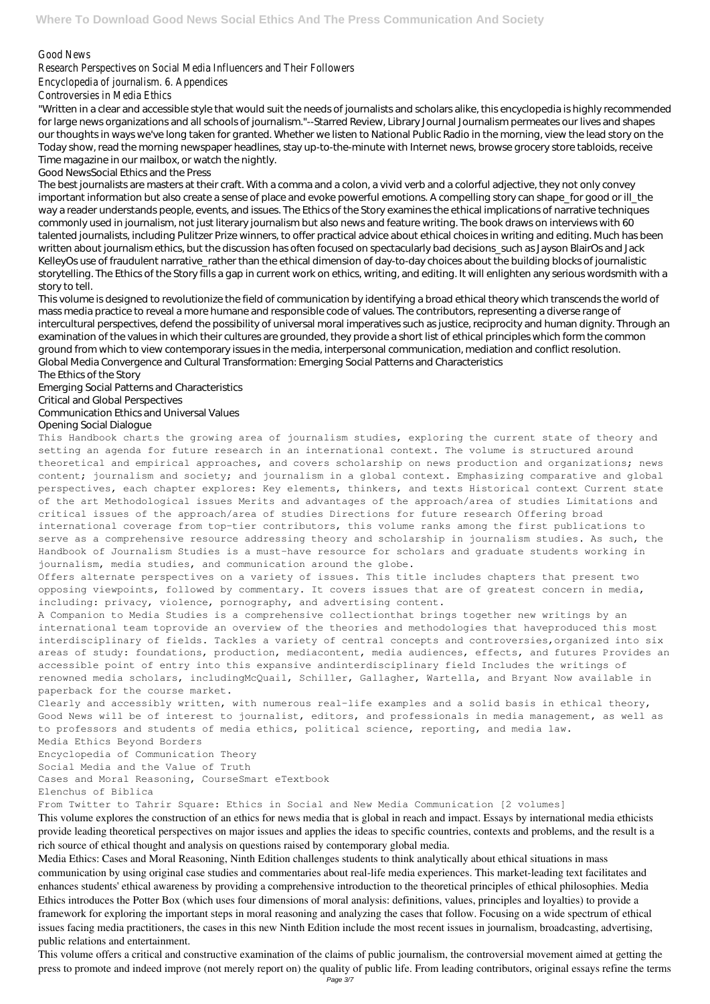## Good News

## Research Perspectives on Social Media Influencers and Their Followers

Encyclopedia of journalism. 6. Appendices

Controversies in Media Ethics

"Written in a clear and accessible style that would suit the needs of journalists and scholars alike, this encyclopedia is highly recommended for large news organizations and all schools of journalism."--Starred Review, Library Journal Journalism permeates our lives and shapes our thoughts in ways we've long taken for granted. Whether we listen to National Public Radio in the morning, view the lead story on the Today show, read the morning newspaper headlines, stay up-to-the-minute with Internet news, browse grocery store tabloids, receive Time magazine in our mailbox, or watch the nightly.

Good NewsSocial Ethics and the Press

The best journalists are masters at their craft. With a comma and a colon, a vivid verb and a colorful adjective, they not only convey important information but also create a sense of place and evoke powerful emotions. A compelling story can shape for good or ill the way a reader understands people, events, and issues. The Ethics of the Story examines the ethical implications of narrative techniques commonly used in journalism, not just literary journalism but also news and feature writing. The book draws on interviews with 60 talented journalists, including Pulitzer Prize winners, to offer practical advice about ethical choices in writing and editing. Much has been written about journalism ethics, but the discussion has often focused on spectacularly bad decisions\_such as Jayson BlairOs and Jack KelleyOs use of fraudulent narrative\_rather than the ethical dimension of day-to-day choices about the building blocks of journalistic storytelling. The Ethics of the Story fills a gap in current work on ethics, writing, and editing. It will enlighten any serious wordsmith with a story to tell.

This volume is designed to revolutionize the field of communication by identifying a broad ethical theory which transcends the world of mass media practice to reveal a more humane and responsible code of values. The contributors, representing a diverse range of intercultural perspectives, defend the possibility of universal moral imperatives such as justice, reciprocity and human dignity. Through an examination of the values in which their cultures are grounded, they provide a short list of ethical principles which form the common ground from which to view contemporary issues in the media, interpersonal communication, mediation and conflict resolution. Global Media Convergence and Cultural Transformation: Emerging Social Patterns and Characteristics

The Ethics of the Story

Emerging Social Patterns and Characteristics

Critical and Global Perspectives

#### Communication Ethics and Universal Values

#### Opening Social Dialogue

This Handbook charts the growing area of journalism studies, exploring the current state of theory and setting an agenda for future research in an international context. The volume is structured around theoretical and empirical approaches, and covers scholarship on news production and organizations; news content; journalism and society; and journalism in a global context. Emphasizing comparative and global perspectives, each chapter explores: Key elements, thinkers, and texts Historical context Current state of the art Methodological issues Merits and advantages of the approach/area of studies Limitations and critical issues of the approach/area of studies Directions for future research Offering broad international coverage from top-tier contributors, this volume ranks among the first publications to serve as a comprehensive resource addressing theory and scholarship in journalism studies. As such, the Handbook of Journalism Studies is a must-have resource for scholars and graduate students working in journalism, media studies, and communication around the globe.

Offers alternate perspectives on a variety of issues. This title includes chapters that present two opposing viewpoints, followed by commentary. It covers issues that are of greatest concern in media, including: privacy, violence, pornography, and advertising content.

A Companion to Media Studies is a comprehensive collectionthat brings together new writings by an international team toprovide an overview of the theories and methodologies that haveproduced this most interdisciplinary of fields. Tackles a variety of central concepts and controversies,organized into six areas of study: foundations, production, mediacontent, media audiences, effects, and futures Provides an accessible point of entry into this expansive andinterdisciplinary field Includes the writings of renowned media scholars, includingMcQuail, Schiller, Gallagher, Wartella, and Bryant Now available in paperback for the course market.

Clearly and accessibly written, with numerous real-life examples and a solid basis in ethical theory, Good News will be of interest to journalist, editors, and professionals in media management, as well as to professors and students of media ethics, political science, reporting, and media law.

## Media Ethics Beyond Borders

Encyclopedia of Communication Theory Social Media and the Value of Truth Cases and Moral Reasoning, CourseSmart eTextbook Elenchus of Biblica From Twitter to Tahrir Square: Ethics in Social and New Media Communication [2 volumes] This volume explores the construction of an ethics for news media that is global in reach and impact. Essays by international media ethicists provide leading theoretical perspectives on major issues and applies the ideas to specific countries, contexts and problems, and the result is a

rich source of ethical thought and analysis on questions raised by contemporary global media.

Media Ethics: Cases and Moral Reasoning, Ninth Edition challenges students to think analytically about ethical situations in mass communication by using original case studies and commentaries about real-life media experiences. This market-leading text facilitates and enhances students' ethical awareness by providing a comprehensive introduction to the theoretical principles of ethical philosophies. Media Ethics introduces the Potter Box (which uses four dimensions of moral analysis: definitions, values, principles and loyalties) to provide a framework for exploring the important steps in moral reasoning and analyzing the cases that follow. Focusing on a wide spectrum of ethical issues facing media practitioners, the cases in this new Ninth Edition include the most recent issues in journalism, broadcasting, advertising, public relations and entertainment.

This volume offers a critical and constructive examination of the claims of public journalism, the controversial movement aimed at getting the press to promote and indeed improve (not merely report on) the quality of public life. From leading contributors, original essays refine the terms Page 3/7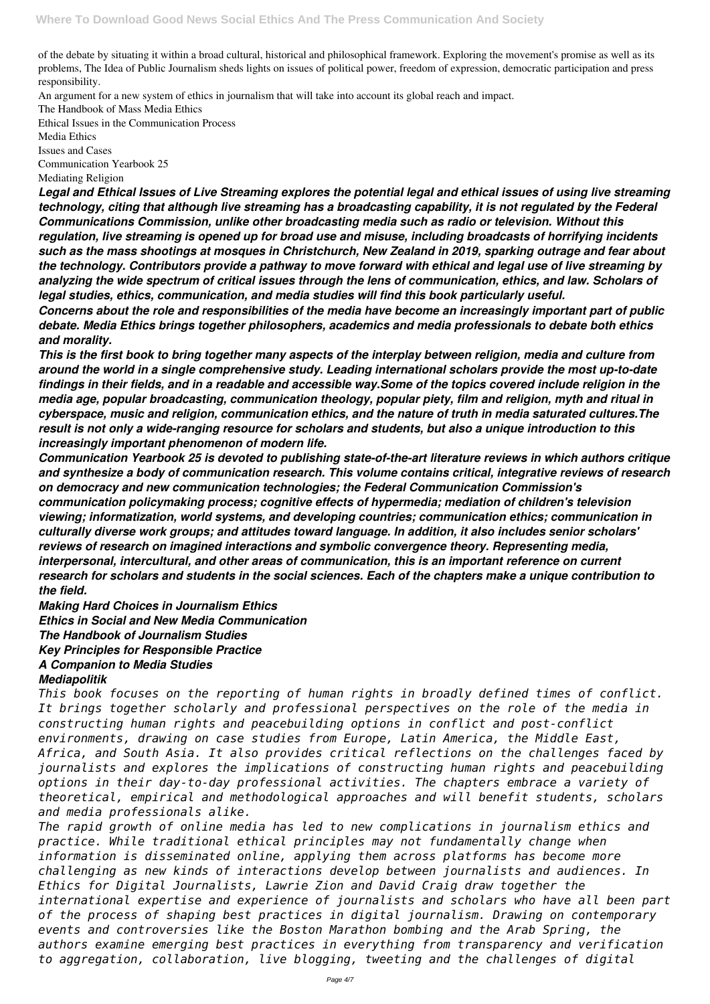of the debate by situating it within a broad cultural, historical and philosophical framework. Exploring the movement's promise as well as its problems, The Idea of Public Journalism sheds lights on issues of political power, freedom of expression, democratic participation and press responsibility.

An argument for a new system of ethics in journalism that will take into account its global reach and impact.

The Handbook of Mass Media Ethics

Ethical Issues in the Communication Process Media Ethics Issues and Cases Communication Yearbook 25 Mediating Religion

*Legal and Ethical Issues of Live Streaming explores the potential legal and ethical issues of using live streaming technology, citing that although live streaming has a broadcasting capability, it is not regulated by the Federal Communications Commission, unlike other broadcasting media such as radio or television. Without this regulation, live streaming is opened up for broad use and misuse, including broadcasts of horrifying incidents such as the mass shootings at mosques in Christchurch, New Zealand in 2019, sparking outrage and fear about the technology. Contributors provide a pathway to move forward with ethical and legal use of live streaming by analyzing the wide spectrum of critical issues through the lens of communication, ethics, and law. Scholars of legal studies, ethics, communication, and media studies will find this book particularly useful.*

*Concerns about the role and responsibilities of the media have become an increasingly important part of public debate. Media Ethics brings together philosophers, academics and media professionals to debate both ethics and morality.*

*This is the first book to bring together many aspects of the interplay between religion, media and culture from around the world in a single comprehensive study. Leading international scholars provide the most up-to-date findings in their fields, and in a readable and accessible way.Some of the topics covered include religion in the media age, popular broadcasting, communication theology, popular piety, film and religion, myth and ritual in cyberspace, music and religion, communication ethics, and the nature of truth in media saturated cultures.The result is not only a wide-ranging resource for scholars and students, but also a unique introduction to this increasingly important phenomenon of modern life.*

*Communication Yearbook 25 is devoted to publishing state-of-the-art literature reviews in which authors critique and synthesize a body of communication research. This volume contains critical, integrative reviews of research on democracy and new communication technologies; the Federal Communication Commission's communication policymaking process; cognitive effects of hypermedia; mediation of children's television viewing; informatization, world systems, and developing countries; communication ethics; communication in culturally diverse work groups; and attitudes toward language. In addition, it also includes senior scholars' reviews of research on imagined interactions and symbolic convergence theory. Representing media, interpersonal, intercultural, and other areas of communication, this is an important reference on current research for scholars and students in the social sciences. Each of the chapters make a unique contribution to the field.*

*Making Hard Choices in Journalism Ethics Ethics in Social and New Media Communication The Handbook of Journalism Studies Key Principles for Responsible Practice A Companion to Media Studies*

## *Mediapolitik*

*This book focuses on the reporting of human rights in broadly defined times of conflict. It brings together scholarly and professional perspectives on the role of the media in constructing human rights and peacebuilding options in conflict and post-conflict environments, drawing on case studies from Europe, Latin America, the Middle East, Africa, and South Asia. It also provides critical reflections on the challenges faced by journalists and explores the implications of constructing human rights and peacebuilding options in their day-to-day professional activities. The chapters embrace a variety of theoretical, empirical and methodological approaches and will benefit students, scholars and media professionals alike. The rapid growth of online media has led to new complications in journalism ethics and practice. While traditional ethical principles may not fundamentally change when information is disseminated online, applying them across platforms has become more challenging as new kinds of interactions develop between journalists and audiences. In Ethics for Digital Journalists, Lawrie Zion and David Craig draw together the international expertise and experience of journalists and scholars who have all been part of the process of shaping best practices in digital journalism. Drawing on contemporary events and controversies like the Boston Marathon bombing and the Arab Spring, the authors examine emerging best practices in everything from transparency and verification to aggregation, collaboration, live blogging, tweeting and the challenges of digital*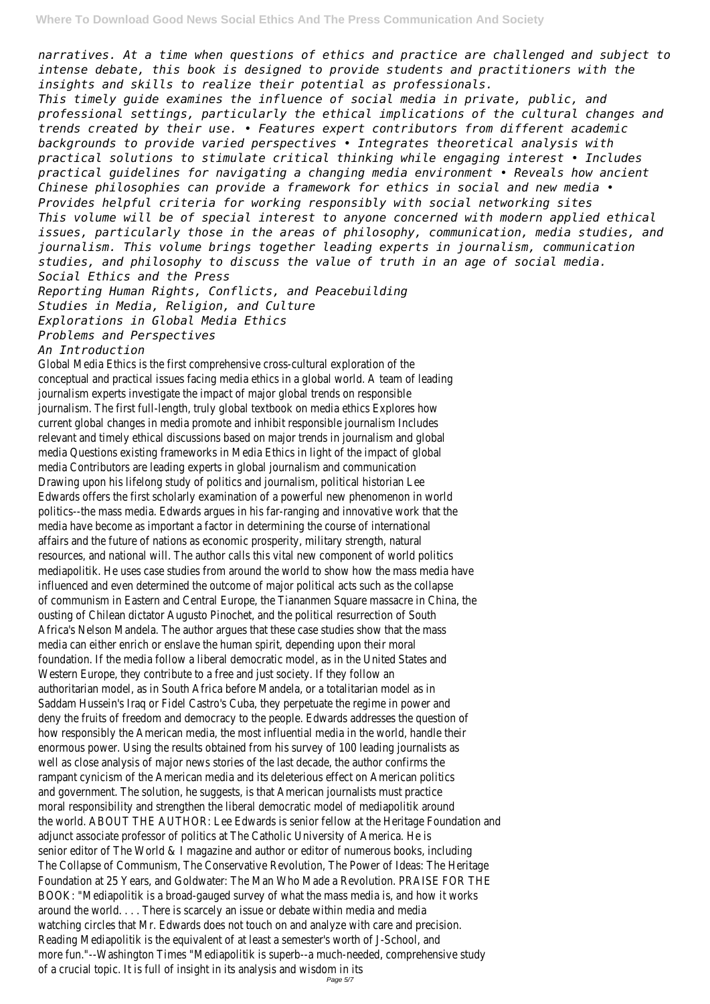*narratives. At a time when questions of ethics and practice are challenged and subject to intense debate, this book is designed to provide students and practitioners with the insights and skills to realize their potential as professionals.*

*This timely guide examines the influence of social media in private, public, and professional settings, particularly the ethical implications of the cultural changes and trends created by their use. • Features expert contributors from different academic backgrounds to provide varied perspectives • Integrates theoretical analysis with practical solutions to stimulate critical thinking while engaging interest • Includes practical guidelines for navigating a changing media environment • Reveals how ancient Chinese philosophies can provide a framework for ethics in social and new media • Provides helpful criteria for working responsibly with social networking sites This volume will be of special interest to anyone concerned with modern applied ethical issues, particularly those in the areas of philosophy, communication, media studies, and journalism. This volume brings together leading experts in journalism, communication studies, and philosophy to discuss the value of truth in an age of social media. Social Ethics and the Press*

*Reporting Human Rights, Conflicts, and Peacebuilding Studies in Media, Religion, and Culture Explorations in Global Media Ethics Problems and Perspectives*

# *An Introduction*

Global Media Ethics is the first comprehensive cross-cultural exploration of the conceptual and practical issues facing media ethics in a global world. A team of leading journalism experts investigate the impact of major global trends on responsible journalism. The first full-length, truly global textbook on media ethics Explores how current global changes in media promote and inhibit responsible journalism Includes relevant and timely ethical discussions based on major trends in journalism and global media Questions existing frameworks in Media Ethics in light of the impact of global media Contributors are leading experts in global journalism and communication Drawing upon his lifelong study of politics and journalism, political historian Lee Edwards offers the first scholarly examination of a powerful new phenomenon in world politics--the mass media. Edwards argues in his far-ranging and innovative work that the media have become as important a factor in determining the course of international affairs and the future of nations as economic prosperity, military strength, natural resources, and national will. The author calls this vital new component of world politics mediapolitik. He uses case studies from around the world to show how the mass media have influenced and even determined the outcome of major political acts such as the collapse of communism in Eastern and Central Europe, the Tiananmen Square massacre in China, the ousting of Chilean dictator Augusto Pinochet, and the political resurrection of South Africa's Nelson Mandela. The author argues that these case studies show that the mass media can either enrich or enslave the human spirit, depending upon their moral foundation. If the media follow a liberal democratic model, as in the United States and Western Europe, they contribute to a free and just society. If they follow an authoritarian model, as in South Africa before Mandela, or a totalitarian model as in Saddam Hussein's Iraq or Fidel Castro's Cuba, they perpetuate the regime in power and deny the fruits of freedom and democracy to the people. Edwards addresses the question of how responsibly the American media, the most influential media in the world, handle their enormous power. Using the results obtained from his survey of 100 leading journalists as well as close analysis of major news stories of the last decade, the author confirms the rampant cynicism of the American media and its deleterious effect on American politics and government. The solution, he suggests, is that American journalists must practice moral responsibility and strengthen the liberal democratic model of mediapolitik around the world. ABOUT THE AUTHOR: Lee Edwards is senior fellow at the Heritage Foundation and adjunct associate professor of politics at The Catholic University of America. He is senior editor of The World & I magazine and author or editor of numerous books, including The Collapse of Communism, The Conservative Revolution, The Power of Ideas: The Heritage Foundation at 25 Years, and Goldwater: The Man Who Made a Revolution. PRAISE FOR THE BOOK: "Mediapolitik is a broad-gauged survey of what the mass media is, and how it works around the world. . . . There is scarcely an issue or debate within media and media watching circles that Mr. Edwards does not touch on and analyze with care and precision. Reading Mediapolitik is the equivalent of at least a semester's worth of J-School, and more fun."--Washington Times "Mediapolitik is superb--a much-needed, comprehensive study of a crucial topic. It is full of insight in its analysis and wisdom in its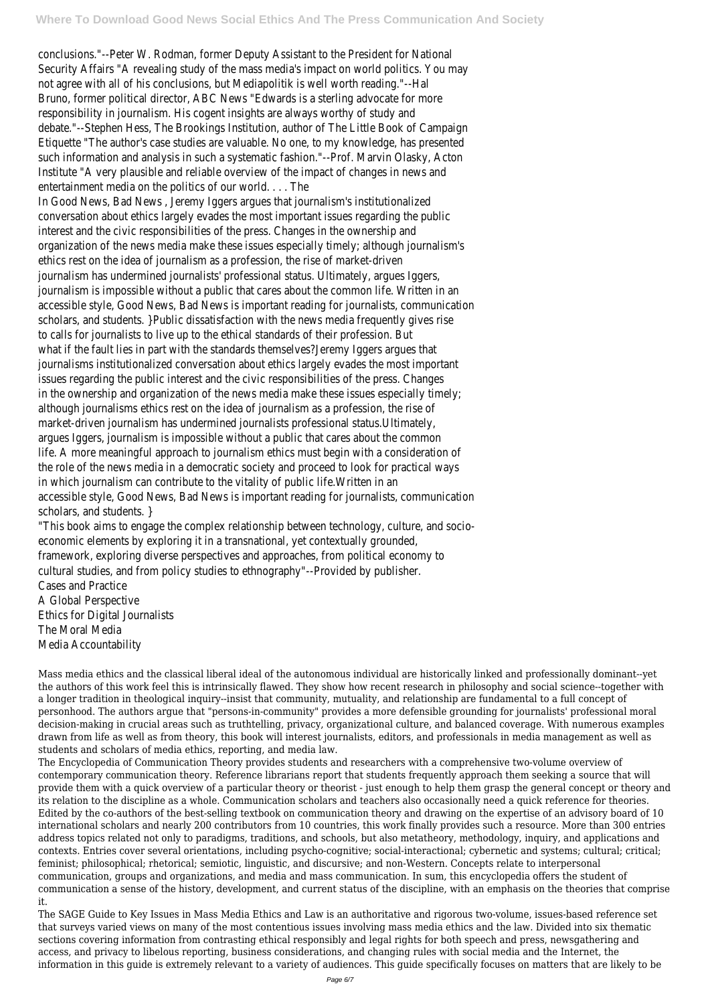conclusions."--Peter W. Rodman, former Deputy Assistant to the President for National Security Affairs "A revealing study of the mass media's impact on world politics. You may not agree with all of his conclusions, but Mediapolitik is well worth reading."--Hal Bruno, former political director, ABC News "Edwards is a sterling advocate for more responsibility in journalism. His cogent insights are always worthy of study and debate."--Stephen Hess, The Brookings Institution, author of The Little Book of Campaign Etiquette "The author's case studies are valuable. No one, to my knowledge, has presented such information and analysis in such a systematic fashion."--Prof. Marvin Olasky, Acton Institute "A very plausible and reliable overview of the impact of changes in news and entertainment media on the politics of our world. . . . The In Good News, Bad News , Jeremy Iggers argues that journalism's institutionalized conversation about ethics largely evades the most important issues regarding the public interest and the civic responsibilities of the press. Changes in the ownership and organization of the news media make these issues especially timely; although journalism's ethics rest on the idea of journalism as a profession, the rise of market-driven journalism has undermined journalists' professional status. Ultimately, argues Iggers, journalism is impossible without a public that cares about the common life. Written in an accessible style, Good News, Bad News is important reading for journalists, communication scholars, and students. }Public dissatisfaction with the news media frequently gives rise to calls for journalists to live up to the ethical standards of their profession. But what if the fault lies in part with the standards themselves?Jeremy Iggers argues that journalisms institutionalized conversation about ethics largely evades the most important issues regarding the public interest and the civic responsibilities of the press. Changes in the ownership and organization of the news media make these issues especially timely; although journalisms ethics rest on the idea of journalism as a profession, the rise of market-driven journalism has undermined journalists professional status.Ultimately, argues Iggers, journalism is impossible without a public that cares about the common life. A more meaningful approach to journalism ethics must begin with a consideration of the role of the news media in a democratic society and proceed to look for practical ways in which journalism can contribute to the vitality of public life.Written in an accessible style, Good News, Bad News is important reading for journalists, communication scholars, and students. }

"This book aims to engage the complex relationship between technology, culture, and socioeconomic elements by exploring it in a transnational, yet contextually grounded, framework, exploring diverse perspectives and approaches, from political economy to cultural studies, and from policy studies to ethnography"--Provided by publisher. Cases and Practice A Global Perspective Ethics for Digital Journalists The Moral Media Media Accountability

Mass media ethics and the classical liberal ideal of the autonomous individual are historically linked and professionally dominant--yet the authors of this work feel this is intrinsically flawed. They show how recent research in philosophy and social science--together with a longer tradition in theological inquiry--insist that community, mutuality, and relationship are fundamental to a full concept of personhood. The authors argue that "persons-in-community" provides a more defensible grounding for journalists' professional moral decision-making in crucial areas such as truthtelling, privacy, organizational culture, and balanced coverage. With numerous examples drawn from life as well as from theory, this book will interest journalists, editors, and professionals in media management as well as students and scholars of media ethics, reporting, and media law. The Encyclopedia of Communication Theory provides students and researchers with a comprehensive two-volume overview of contemporary communication theory. Reference librarians report that students frequently approach them seeking a source that will provide them with a quick overview of a particular theory or theorist - just enough to help them grasp the general concept or theory and its relation to the discipline as a whole. Communication scholars and teachers also occasionally need a quick reference for theories. Edited by the co-authors of the best-selling textbook on communication theory and drawing on the expertise of an advisory board of 10 international scholars and nearly 200 contributors from 10 countries, this work finally provides such a resource. More than 300 entries address topics related not only to paradigms, traditions, and schools, but also metatheory, methodology, inquiry, and applications and contexts. Entries cover several orientations, including psycho-cognitive; social-interactional; cybernetic and systems; cultural; critical; feminist; philosophical; rhetorical; semiotic, linguistic, and discursive; and non-Western. Concepts relate to interpersonal communication, groups and organizations, and media and mass communication. In sum, this encyclopedia offers the student of communication a sense of the history, development, and current status of the discipline, with an emphasis on the theories that comprise it. The SAGE Guide to Key Issues in Mass Media Ethics and Law is an authoritative and rigorous two-volume, issues-based reference set that surveys varied views on many of the most contentious issues involving mass media ethics and the law. Divided into six thematic sections covering information from contrasting ethical responsibly and legal rights for both speech and press, newsgathering and access, and privacy to libelous reporting, business considerations, and changing rules with social media and the Internet, the information in this guide is extremely relevant to a variety of audiences. This guide specifically focuses on matters that are likely to be